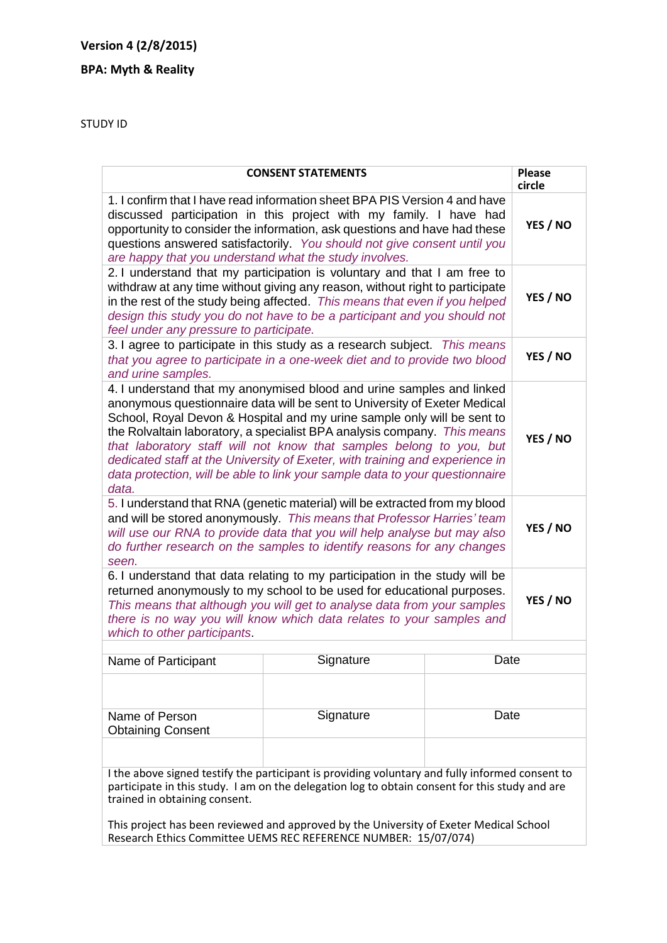## **Version 4 (2/8/2015)**

## **BPA: Myth & Reality**

STUDY ID

| <b>CONSENT STATEMENTS</b>                                                                                                                                                                                                                                                                                                                                                                                                                                                                                                                                 | <b>Please</b><br>circle |
|-----------------------------------------------------------------------------------------------------------------------------------------------------------------------------------------------------------------------------------------------------------------------------------------------------------------------------------------------------------------------------------------------------------------------------------------------------------------------------------------------------------------------------------------------------------|-------------------------|
| 1. I confirm that I have read information sheet BPA PIS Version 4 and have<br>discussed participation in this project with my family. I have had<br>opportunity to consider the information, ask questions and have had these<br>questions answered satisfactorily. You should not give consent until you<br>are happy that you understand what the study involves.                                                                                                                                                                                       | YES / NO                |
| 2. I understand that my participation is voluntary and that I am free to<br>withdraw at any time without giving any reason, without right to participate<br>in the rest of the study being affected. This means that even if you helped<br>design this study you do not have to be a participant and you should not<br>feel under any pressure to participate.                                                                                                                                                                                            | YES / NO                |
| 3. I agree to participate in this study as a research subject. This means<br>that you agree to participate in a one-week diet and to provide two blood<br>and urine samples.                                                                                                                                                                                                                                                                                                                                                                              | YES / NO                |
| 4. I understand that my anonymised blood and urine samples and linked<br>anonymous questionnaire data will be sent to University of Exeter Medical<br>School, Royal Devon & Hospital and my urine sample only will be sent to<br>the Rolvaltain laboratory, a specialist BPA analysis company. This means<br>that laboratory staff will not know that samples belong to you, but<br>dedicated staff at the University of Exeter, with training and experience in<br>data protection, will be able to link your sample data to your questionnaire<br>data. |                         |
| 5. I understand that RNA (genetic material) will be extracted from my blood<br>and will be stored anonymously. This means that Professor Harries' team<br>will use our RNA to provide data that you will help analyse but may also<br>do further research on the samples to identify reasons for any changes<br>seen.                                                                                                                                                                                                                                     | YES / NO                |
| 6. I understand that data relating to my participation in the study will be<br>returned anonymously to my school to be used for educational purposes.<br>This means that although you will get to analyse data from your samples<br>there is no way you will know which data relates to your samples and<br>which to other participants.                                                                                                                                                                                                                  | YES / NO                |
|                                                                                                                                                                                                                                                                                                                                                                                                                                                                                                                                                           |                         |

| Name of Participant                        | Signature | Date |
|--------------------------------------------|-----------|------|
|                                            |           |      |
| Name of Person<br><b>Obtaining Consent</b> | Signature | Date |
|                                            |           |      |

I the above signed testify the participant is providing voluntary and fully informed consent to participate in this study. I am on the delegation log to obtain consent for this study and are trained in obtaining consent.

This project has been reviewed and approved by the University of Exeter Medical School Research Ethics Committee UEMS REC REFERENCE NUMBER: 15/07/074)